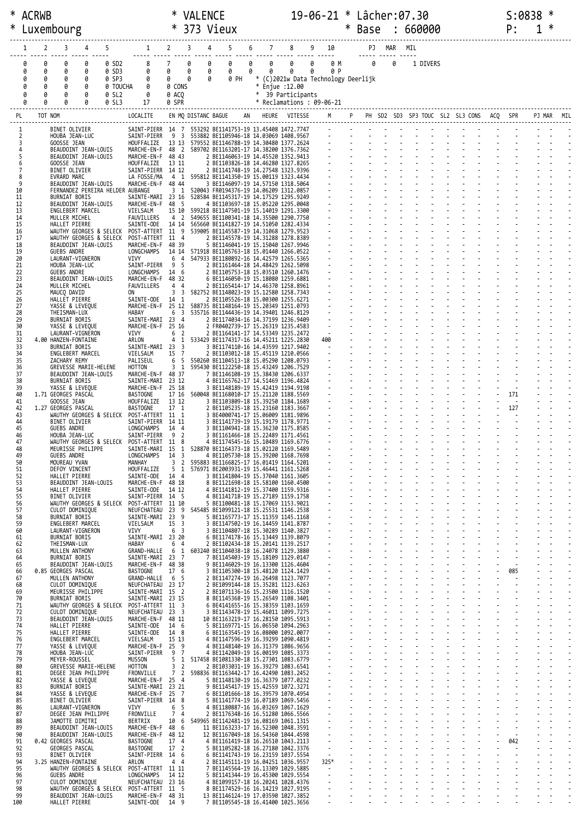| * ACRWB    |                  |                                              |                                  |                                                               | 19-06-21 * Lâcher:07.30<br><b>VALENCE</b> |                  |                                                                                                                    |   |   |                   |                                                 |  |                                            | S:0838 |               |     |          |  |    |               |   |  |  |
|------------|------------------|----------------------------------------------|----------------------------------|---------------------------------------------------------------|-------------------------------------------|------------------|--------------------------------------------------------------------------------------------------------------------|---|---|-------------------|-------------------------------------------------|--|--------------------------------------------|--------|---------------|-----|----------|--|----|---------------|---|--|--|
| Luxembourg |                  |                                              |                                  | $\ast$                                                        | 373 Vieux                                 |                  |                                                                                                                    |   |   | $\ast$            |                                                 |  | Base : 660000                              |        |               |     |          |  | P: | 1             | ∗ |  |  |
|            |                  |                                              |                                  |                                                               |                                           |                  |                                                                                                                    |   |   |                   |                                                 |  |                                            |        |               |     |          |  |    |               |   |  |  |
|            | 2<br>1           | 3                                            | 5.<br>4                          |                                                               | $1 \quad 2 \quad 3$                       |                  | $5 -$<br>4                                                                                                         | 6 |   |                   | 7 8 9 10                                        |  |                                            | PJ MAR |               | MIL |          |  |    |               |   |  |  |
|            | 0<br>0           | 0                                            | 0 SD2<br>0                       | 8                                                             | $7^{\circ}$                               | 0<br>0           | 0                                                                                                                  | 0 | 0 | 0                 | 0<br>0 M                                        |  | 0                                          |        | 0             |     | 1 DIVERS |  |    |               |   |  |  |
|            | 0<br>0<br>0<br>0 | 0<br>0                                       | 0 SD3<br>0<br>0 SP3<br>0         | 0<br>0                                                        | 0<br>$\theta$                             | 0<br>0<br>0<br>0 | 0<br>0 PH                                                                                                          | 0 | 0 | 0                 | 0<br>0 P<br>* (C)2021w Data Technology Deerlijk |  |                                            |        |               |     |          |  |    |               |   |  |  |
|            | 0<br>0           | 0                                            | 0 TOUCHA<br>0                    | 0                                                             | 0 CONS                                    |                  |                                                                                                                    |   |   | * Enjue :12.00    |                                                 |  |                                            |        |               |     |          |  |    |               |   |  |  |
|            | 0<br>0<br>ø<br>0 | 0<br>0                                       | 0<br>0 SL2<br>0 SL3<br>0         | 0<br>17                                                       | 0 ACO<br>0 SPR                            |                  |                                                                                                                    |   |   | * 39 Participants | $*$ Reclamations : 09-06-21                     |  |                                            |        |               |     |          |  |    |               |   |  |  |
| PL         |                  | TOT NOM                                      |                                  | LOCALITE                                                      |                                           |                  | EN MQ DISTANC BAGUE AN HEURE VITESSE                                                                               |   |   |                   | M                                               |  | P PH SD2 SD3 SP3 TOUC SL2 SL3 CONS ACQ SPR |        |               |     |          |  |    |               |   |  |  |
|            |                  |                                              | BINET OLIVIER                    |                                                               |                                           |                  | SAINT-PIERR 14 7 553292 BE1141753-19 13.45408 1472.7747                                                            |   |   |                   |                                                 |  |                                            |        |               |     |          |  |    |               |   |  |  |
| 1          | 2                | HOUBA JEAN-LUC                               |                                  | SAINT-PIERR                                                   | 9                                         |                  | 3 553882 BE1105946-18 14.03069 1408.9567                                                                           |   |   |                   |                                                 |  |                                            |        |               |     |          |  |    |               |   |  |  |
|            | 3<br>4           | GOOSSE JEAN<br>BEAUDOINT JEAN-LOUIS          |                                  |                                                               |                                           |                  | HOUFFALIZE 13 13 579552 BE1146788-19 14.30480 1377.2624<br>MARCHE-EN-F 48 2 589702 BE1163201-17 14.38200 1376.7362 |   |   |                   |                                                 |  |                                            |        |               |     |          |  |    |               |   |  |  |
| 5          |                  | BEAUDOINT JEAN-LOUIS<br>GOOSSE JEAN          |                                  | MARCHE-EN-F 48 43<br>HOUFFALIZE                               | 13 11                                     |                  | 2 BE1146063-19 14.45520 1352.9413<br>2 BE1103826-18 14.46280 1327.8265                                             |   |   |                   |                                                 |  |                                            |        |               |     |          |  |    |               |   |  |  |
| 7          | 6                | BINET OLIVIER                                |                                  | SAINT-PIERR 14 12                                             |                                           |                  | 2 BE1141748-19 14.27548 1323.9396                                                                                  |   |   |                   |                                                 |  |                                            |        |               |     |          |  |    |               |   |  |  |
| 9          | 8                | EVRARD MARC<br>BEAUDOINT JEAN-LOUIS          |                                  | LA FOSSE/MA<br>MARCHE-EN-F 48 44                              |                                           |                  | 4 1 595812 BE1141350-19 15.00119 1323.4434<br>3 BE1146097-19 14.57150 1318.5064                                    |   |   |                   |                                                 |  |                                            |        |               |     |          |  |    |               |   |  |  |
| 10<br>11   |                  | BURNIAT BORIS                                | FERNANDEZ PEREIRA HELDER AUBANGE | SAINTE-MARI 23 16                                             | 3 <sub>1</sub>                            |                  | 520043 FR0194376-19 14.06209 1312.0857<br>528584 BE1145317-19 14.17529 1295.9249                                   |   |   |                   |                                                 |  |                                            |        |               |     |          |  |    |               |   |  |  |
| 12         |                  | BEAUDOINT JEAN-LOUIS                         |                                  | MARCHE-EN-F 48 5                                              |                                           |                  | 4 BE1103697-18 15.05220 1295.0048                                                                                  |   |   |                   |                                                 |  |                                            |        |               |     |          |  |    |               |   |  |  |
| 13<br>14   |                  | ENGLEBERT MARCEL<br>MULLER MICHEL            |                                  | VIELSALM<br>FAUVILLERS                                        | 4 2                                       |                  | 15 10 599218 BE1147501-19 15.14019 1291.3300<br>549655 BE1100341-18 14.35500 1290.7750                             |   |   |                   |                                                 |  |                                            |        |               |     |          |  |    |               |   |  |  |
| 15<br>16   |                  | HALLET PIERRE                                | WAUTHY GEORGES & SELECK          | SAINTE-ODE<br>POST-ATTERT 11 9                                | 14 14                                     |                  | 565660 BE1141827-19 14.51050 1282.4334<br>539005 BE1145587-19 14.31068 1279.9523                                   |   |   |                   |                                                 |  |                                            |        |               |     |          |  |    |               |   |  |  |
| 17         |                  |                                              | WAUTHY GEORGES & SELECK          | POST-ATTERT 11 4                                              |                                           |                  | 2 BE1145578-19 14.31288 1278.8389                                                                                  |   |   |                   |                                                 |  |                                            |        |               |     |          |  |    |               |   |  |  |
| 18<br>19   |                  | BEAUDOINT JEAN-LOUIS<br><b>GUEBS ANDRE</b>   |                                  | MARCHE-EN-F 48 39<br>LONGCHAMPS                               |                                           |                  | 5 BE1146041-19 15.15040 1267.9946<br>14 14 571918 BE1105763-18 15.01440 1266.0522                                  |   |   |                   |                                                 |  |                                            |        |               |     |          |  |    |               |   |  |  |
| 20<br>21   |                  | LAURANT-VIGNERON<br>HOUBA JEAN-LUC           |                                  | VIVY<br>SAINT-PIERR                                           | 6<br>4<br>- 5<br>9                        |                  | 547933 BE1180892-16 14.42579 1265.5365<br>2 BE1161464-18 14.48429 1262.5098                                        |   |   |                   |                                                 |  |                                            |        |               |     |          |  |    |               |   |  |  |
| 22         |                  | GUEBS ANDRE                                  |                                  | LONGCHAMPS                                                    | 14 6                                      |                  | 2 BE1105753-18 15.03510 1260.1476                                                                                  |   |   |                   |                                                 |  |                                            |        |               |     |          |  |    |               |   |  |  |
| 23<br>24   |                  | BEAUDOINT JEAN-LOUIS<br>MULLER MICHEL        |                                  | MARCHE-EN-F 48 32<br>FAUVILLERS                               | 4 4                                       |                  | 6 BE1146050-19 15.18080 1259.6881<br>2 BE1165414-17 14.46370 1258.8961                                             |   |   |                   |                                                 |  |                                            |        |               |     |          |  |    |               |   |  |  |
| 25<br>26   |                  | MAUCQ DAVID<br>HALLET PIERRE                 |                                  | ON<br>SAINTE-ODE                                              | 3<br>$\overline{\mathbf{3}}$<br>14 1      |                  | 582752 BE1148023-19 15.12580 1258.7343<br>2 BE1105526-18 15.00300 1255.6271                                        |   |   |                   |                                                 |  |                                            |        |               |     |          |  |    |               |   |  |  |
| 27         |                  | YASSE & LEVEQUE                              |                                  |                                                               |                                           |                  | MARCHE-EN-F 25 12 588735 BE1148164-19 15.20349 1251.0793                                                           |   |   |                   |                                                 |  |                                            |        |               |     |          |  |    |               |   |  |  |
| 28<br>29   |                  | THE ISMAN-LUX<br>BURNIAT BORIS               |                                  | HABAY<br>SAINTE-MARI 23 4                                     | 6                                         |                  | 3 535716 BE1144436-19 14.39401 1246.8129<br>2 BE1174034-16 14.37199 1236.9409                                      |   |   |                   |                                                 |  |                                            |        |               |     |          |  |    |               |   |  |  |
| 30<br>31   |                  | YASSE & LEVEQUE<br>LAURANT-VIGNERON          |                                  | MARCHE-EN-F 25 16<br>VIVY                                     | 6 2                                       |                  | 2 FR0402739-17 15.26319 1235.4583<br>2 BE1164141-17 14.53349 1235.2472                                             |   |   |                   |                                                 |  |                                            |        |               |     |          |  |    |               |   |  |  |
| 32         |                  | 4.00 HANZEN-FONTAINE                         |                                  | ARLON                                                         |                                           |                  | 4 1 533429 BE1174317-16 14.45211 1225.2830                                                                         |   |   |                   | 400                                             |  |                                            |        |               |     |          |  |    |               |   |  |  |
| 33<br>34   |                  | <b>BURNIAT BORIS</b><br>ENGLEBERT MARCEL     |                                  | SAINTE-MARI 23 3<br>VIELSALM                                  | 15 7                                      |                  | 3 BE1174110-16 14.43599 1217.9402<br>2 BE1103012-18 15.45119 1210.0566                                             |   |   |                   | $\sim$ $-$                                      |  |                                            |        |               |     |          |  |    |               |   |  |  |
| 35<br>36   |                  | ZACHARY REMY<br>GREVESSE MARIE-HELENE        |                                  | PALISEUL<br>HOTTON                                            | 6<br>- 5<br>3 1                           |                  | 550260 BE1104513-18 15.05290 1208.0793<br>595430 BE1122250-18 15.43249 1206.7529                                   |   |   |                   |                                                 |  |                                            |        |               |     |          |  |    |               |   |  |  |
| 37<br>38   |                  | BEAUDOINT JEAN-LOUIS<br>BURNIAT BORIS        |                                  | MARCHE-EN-F 48 37<br>SAINTE-MARI 23 12                        |                                           |                  | 7 BE1146108-19 15.38430 1206.6337<br>4 BE1165762-17 14.51469 1196.4824                                             |   |   |                   |                                                 |  |                                            |        |               |     |          |  |    |               |   |  |  |
| 39         |                  | YASSE & LEVEQUE                              |                                  | MARCHE-EN-F 25 18                                             |                                           |                  | 3 BE1148189-19 15.42419 1194.9198                                                                                  |   |   |                   |                                                 |  |                                            |        |               |     |          |  |    |               |   |  |  |
| 40<br>41   |                  | 1.71 GEORGES PASCAL<br>GOOSSE JEAN           |                                  | <b>BASTOGNE</b><br>HOUFFALIZE                                 | 13 12                                     |                  | 17 16 560048 BE1168010-17 15.21120 1188.5569<br>3 BE1103809-18 15.39250 1184.1689                                  |   |   |                   |                                                 |  |                                            |        |               |     |          |  |    | 171<br>$\sim$ |   |  |  |
| 42<br>43   |                  | 1.27 GEORGES PASCAL                          | WAUTHY GEORGES & SELECK          | <b>BASTOGNE</b><br>POST-ATTERT 11 1                           | 17 <sub>1</sub>                           |                  | 2 BE1105235-18 15.23160 1183.3667<br>3 BE4000741-17 15.06009 1181.9896                                             |   |   |                   |                                                 |  |                                            |        |               |     |          |  |    | 127           |   |  |  |
| 44         |                  | BINET OLIVIER                                |                                  | SAINT-PIERR 14 11                                             |                                           |                  | 3 BE1141739-19 15.19179 1178.9771                                                                                  |   |   |                   |                                                 |  |                                            |        |               |     |          |  |    |               |   |  |  |
| 45<br>46   |                  | GUEBS ANDRE<br>HOUBA JEAN-LUC                |                                  | LONGCHAMPS 14 4<br>SAINT-PIERR                                | - 9<br>$\overline{2}$                     |                  | 3 BE1104941-18 15.36230 1175.8585<br>3 BE1161466-18 15.22489 1171.4561                                             |   |   |                   |                                                 |  |                                            |        |               |     |          |  |    |               |   |  |  |
| 47<br>48   |                  | MEURISSE PHILIPPE                            |                                  | WAUTHY GEORGES & SELECK POST-ATTERT 11 8<br>SAINTE-MARI 15    | 1                                         |                  | 4 BE1174545-16 15.10489 1169.6776<br>528870 BE1164373-18 15.02120 1169.5489                                        |   |   |                   |                                                 |  |                                            |        |               |     |          |  |    |               |   |  |  |
| 49         |                  | <b>GUEBS ANDRE</b>                           |                                  | LONGCHAMPS                                                    | 14 3                                      |                  | 4 BE1105730-18 15.39200 1168.7698                                                                                  |   |   |                   |                                                 |  |                                            |        |               |     |          |  |    |               |   |  |  |
| 50<br>51   |                  | MOUREAU YVAN<br>DEFOY VINCENT                |                                  | MANHAY<br>HOUFFALIZE                                          | 3 <sub>2</sub><br>5 <sub>1</sub>          |                  | 595883 BE1166825-17 16.01419 1164.5201<br>576971 BE2003931-19 15.46441 1161.5268                                   |   |   |                   |                                                 |  |                                            |        |               |     |          |  |    |               |   |  |  |
| 52<br>53   |                  | HALLET PIERRE<br>BEAUDOINT JEAN-LOUIS        |                                  | SAINTE-ODE<br>MARCHE-EN-F 48 18                               | 14 4                                      |                  | 3 BE1141804-19 15.37040 1161.3605<br>8 BE1121698-18 15.58100 1160.4500                                             |   |   |                   |                                                 |  |                                            |        |               |     |          |  |    |               |   |  |  |
| 54         |                  | HALLET PIERRE                                |                                  | SAINTE-ODE                                                    | 14 12                                     |                  | 4 BE1141812-19 15.37400 1159.9316                                                                                  |   |   |                   | $\blacksquare$                                  |  |                                            |        |               |     |          |  |    |               |   |  |  |
| 55<br>56   |                  | BINET OLIVIER                                |                                  | SAINT-PIERR 14 5<br>WAUTHY GEORGES & SELECK POST-ATTERT 11 10 |                                           |                  | 4 BE1141718-19 15.27189 1159.1758<br>5 BE1100481-18 15.17069 1153.9021                                             |   |   |                   |                                                 |  |                                            |        |               |     |          |  |    |               |   |  |  |
| 57<br>58   |                  | CULOT DOMINIQUE<br><b>BURNIAT BORIS</b>      |                                  | NEUFCHATEAU 23 9<br>SAINTE-MARI 23                            | 9                                         |                  | 545485 BE1099121-18 15.25531 1146.2538<br>5 BE1165773-17 15.11359 1145.1168                                        |   |   |                   | $\sim$                                          |  |                                            |        |               |     |          |  |    |               |   |  |  |
| 59<br>60   |                  | ENGLEBERT MARCEL<br>LAURANT-VIGNERON         |                                  | VIELSALM<br>VIVY                                              | 15 <sup>3</sup><br>6 <sup>3</sup>         |                  | 3 BE1147502-19 16.14459 1141.8787<br>3 BE1104807-18 15.30289 1140.3827                                             |   |   |                   | $\sim$                                          |  |                                            |        | ÷.            |     |          |  |    |               |   |  |  |
| 61         |                  | <b>BURNIAT BORIS</b>                         |                                  | SAINTE-MARI 23 20                                             |                                           |                  | 6 BE1174178-16 15.13449 1139.8079                                                                                  |   |   |                   |                                                 |  |                                            |        |               |     |          |  |    |               |   |  |  |
| 62<br>63   |                  | THEISMAN-LUX<br>MULLEN ANTHONY               |                                  | HABAY<br>GRAND-HALLE                                          | 6<br>$\overline{4}$<br>1<br>6             |                  | 2 BE1102434-18 15.20141 1139.2517<br>603240 BE1104038-18 16.24078 1129.3880                                        |   |   |                   |                                                 |  |                                            |        |               |     |          |  |    |               |   |  |  |
| 64<br>65   |                  | <b>BURNIAT BORIS</b><br>BEAUDOINT JEAN-LOUIS |                                  | SAINTE-MARI<br>MARCHE-EN-F 48 38                              | $23 \t 7$                                 |                  | 7 BE1145403-19 15.18109 1129.0147<br>9 BE1146029-19 16.13300 1126.4604                                             |   |   |                   | $\omega$                                        |  |                                            |        |               |     |          |  |    |               |   |  |  |
| 66         |                  | 0.85 GEORGES PASCAL                          |                                  | BASTOGNE                                                      | 17 6                                      |                  | 3 BE1105300-18 15.48120 1124.1429                                                                                  |   |   |                   | $\sim$                                          |  |                                            |        |               |     |          |  |    | 085           |   |  |  |
| 67<br>68   |                  | MULLEN ANTHONY<br>CULOT DOMINIQUE            |                                  | GRAND-HALLE<br>NEUFCHATEAU 23 17                              | 65                                        |                  | 2 BE1147274-19 16.26498 1123.7077<br>2 BE1099144-18 15.35281 1123.6263                                             |   |   |                   |                                                 |  |                                            |        |               |     |          |  |    | $\sim$        |   |  |  |
| 69<br>70   |                  | MEURISSE PHILIPPE<br><b>BURNIAT BORIS</b>    |                                  | SAINTE-MARI 15 2<br>SAINTE-MARI 23 15                         |                                           |                  | 2 BE1071136-16 15.23500 1116.1520<br>8 BE1145368-19 15.26549 1108.3401                                             |   |   |                   | $\blacksquare$                                  |  |                                            |        | $\mathcal{L}$ |     |          |  |    |               |   |  |  |
| 71<br>72   |                  | CULOT DOMINIQUE                              | WAUTHY GEORGES & SELECK          | POST-ATTERT 11 3<br>NEUFCHATEAU 23 3                          |                                           |                  | 6 BE4141655-16 15.38359 1103.1659<br>3 BE1143478-19 15.46011 1099.7275                                             |   |   |                   | $\blacksquare$                                  |  |                                            |        |               |     |          |  |    |               |   |  |  |
| 73         |                  | BEAUDOINT JEAN-LOUIS                         |                                  | MARCHE-EN-F 48 11                                             |                                           |                  | 10 BE1163219-17 16.28150 1095.5913                                                                                 |   |   |                   |                                                 |  |                                            |        |               |     |          |  |    |               |   |  |  |
| 74<br>75   |                  | HALLET PIERRE<br>HALLET PIERRE               |                                  | SAINTE-ODE<br>SAINTE-ODE                                      | 14 6<br>14 8                              |                  | 5 BE1169771-15 16.06550 1094.2963<br>6 BE1163545-19 16.08000 1092.0077                                             |   |   |                   |                                                 |  |                                            |        |               |     |          |  |    |               |   |  |  |
| 76<br>77   |                  | ENGLEBERT MARCEL<br>YASSE & LEVEQUE          |                                  | VIELSALM<br>MARCHE-EN-F 25 9                                  | 15 13                                     |                  | 4 BE1147596-19 16.39299 1090.4819<br>4 BE1148140-19 16.31379 1086.9656                                             |   |   |                   |                                                 |  |                                            |        |               |     |          |  |    |               |   |  |  |
| 78         |                  | HOUBA JEAN-LUC                               |                                  | SAINT-PIERR                                                   | 9 7                                       |                  | 4 BE1142049-19 16.00199 1085.3373                                                                                  |   |   |                   | $\sim$                                          |  |                                            |        |               |     |          |  |    |               |   |  |  |
| 79<br>80   |                  | MEYER-ROUSSEL<br>GREVESSE MARIE-HELENE       |                                  | MUSSON<br>HOTTON                                              | 5<br>$\mathbf 1$<br>3 <sub>2</sub>        |                  | 517458 BE1081330-18 15.27301 1083.6779<br>2 BE1033031-19 16.39279 1083.6541                                        |   |   |                   |                                                 |  |                                            |        |               |     |          |  |    |               |   |  |  |
| 81<br>82   |                  | DEGEE JEAN PHILIPPE<br>YASSE & LEVEQUE       |                                  | FRONVILLE<br>MARCHE-EN-F 25 4                                 | 7 <sup>2</sup>                            |                  | 598836 BE1163442-17 16.42490 1083.2452<br>5 BE1148130-19 16.36379 1077.0232                                        |   |   |                   | $\sim$                                          |  |                                            |        | $\mathcal{L}$ |     |          |  |    |               |   |  |  |
| 83         |                  | BURNIAT BORIS                                |                                  | SAINTE-MARI 23 21                                             |                                           |                  | 9 BE1145417-19 15.42559 1072.3271                                                                                  |   |   |                   |                                                 |  |                                            |        |               |     |          |  |    |               |   |  |  |
| 84<br>85   |                  | YASSE & LEVEQUE<br>BINET OLIVIER             |                                  | MARCHE-EN-F<br>SAINT-PIERR 14 8                               | 25 7                                      |                  | 6 BE1101666-18 16.39579 1070.4954<br>5 BE1141774-19 16.07189 1069.5456                                             |   |   |                   | $\blacksquare$                                  |  |                                            |        |               |     |          |  |    |               |   |  |  |
| 86<br>87   |                  | LAURANT-VIGNERON<br>DEGEE JEAN PHILIPPE      |                                  | VIVY<br>FRONVILLE                                             | 5<br>6<br>$\overline{7}$<br>4             |                  | 4 BE1180887-16 16.03269 1067.1629<br>2 BE1176348-16 16.51280 1066.5566                                             |   |   |                   |                                                 |  |                                            |        |               |     |          |  |    |               |   |  |  |
| 88<br>89   |                  | JAMOTTE DIMITRI<br>BEAUDOINT JEAN-LOUIS      |                                  | BERTRIX<br>MARCHE-EN-F 48 6                                   | 10<br>6                                   |                  | 549965 BE1142481-19 16.08169 1061.1315                                                                             |   |   |                   | $\sim$                                          |  |                                            |        |               |     |          |  |    |               |   |  |  |
| 90         |                  | BEAUDOINT JEAN-LOUIS                         |                                  | MARCHE-EN-F 48 12                                             |                                           |                  | 11 BE1163233-17 16.52300 1048.3591<br>12 BE1167049-18 16.54360 1044.4598                                           |   |   |                   | $\sim$                                          |  |                                            |        |               |     |          |  |    |               |   |  |  |
| 91<br>92   |                  | 0.42 GEORGES PASCAL<br>GEORGES PASCAL        |                                  | <b>BASTOGNE</b><br><b>BASTOGNE</b>                            | 17<br>$\overline{4}$<br>17 <sup>2</sup>   |                  | 4 BE1161419-18 16.26510 1043.2113<br>5 BE1105282-18 16.27180 1042.3376                                             |   |   |                   |                                                 |  |                                            |        |               |     |          |  |    | 042           |   |  |  |
| 93<br>94   |                  | BINET OLIVIER<br>3.25 HANZEN-FONTAINE        |                                  | SAINT-PIERR 14 6<br>ARLON                                     | $4\quad 4$                                |                  | 6 BE1141743-19 16.23159 1037.5554<br>2 BE1145111-19 16.04251 1036.9557                                             |   |   |                   | $\sim$<br>325*                                  |  |                                            |        |               |     |          |  |    |               |   |  |  |
| 95         |                  |                                              | WAUTHY GEORGES & SELECK          | POST-ATTERT 11 11                                             |                                           |                  | 7 BE1145564-19 16.13309 1029.5885                                                                                  |   |   |                   | $\sim$                                          |  |                                            |        |               |     |          |  |    |               |   |  |  |
| 96<br>97   |                  | <b>GUEBS ANDRE</b><br>CULOT DOMINIQUE        |                                  | LONGCHAMPS<br>NEUFCHATEAU 23 16                               | 14 12                                     |                  | 5 BE1141344-19 16.45300 1029.5554<br>4 BE1099157-18 16.20241 1028.4376                                             |   |   |                   | $\blacksquare$                                  |  |                                            |        |               |     |          |  |    |               |   |  |  |
| 98<br>99   |                  | BEAUDOINT JEAN-LOUIS                         |                                  | WAUTHY GEORGES & SELECK POST-ATTERT 11 5<br>MARCHE-EN-F 48 31 |                                           |                  | 8 BE1174529-16 16.14219 1027.9195<br>13 BE1146124-19 17.03590 1027.3852                                            |   |   |                   | $\sim$                                          |  |                                            |        |               |     |          |  |    |               |   |  |  |
| 100        |                  | HALLET PIERRE                                |                                  | SAINTE-ODE 14 9                                               |                                           |                  | 7 BE1105545-18 16.41400 1025.3656                                                                                  |   |   |                   |                                                 |  |                                            |        |               |     |          |  |    |               |   |  |  |